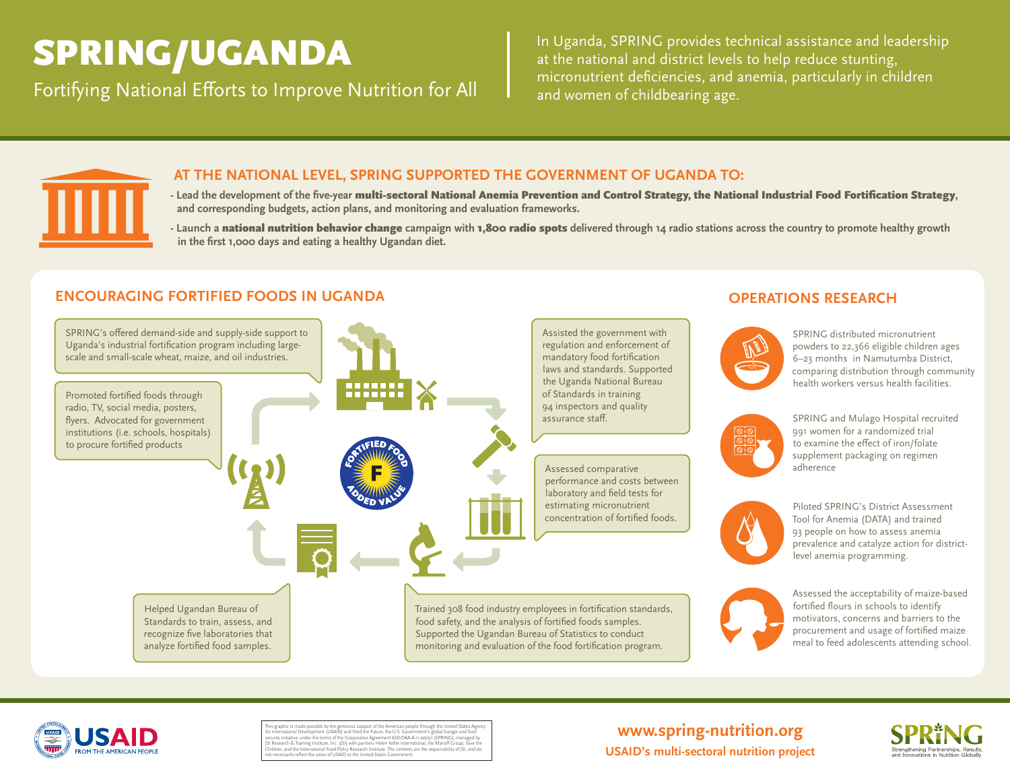In Uganda, SPRING provides technical assistance and leadership at the national and district levels to help reduce stunting, **SPRING/UGANDA** Fortifying National Efforts to Improve Nutrition for All and women of childbearing age.



## **AT THE NATIONAL LEVEL, SPRING SUPPORTED THE GOVERNMENT OF UGANDA TO:**

- **- Lead the development of the five-year** multi-sectoral National Anemia Prevention and Control Strategy, the National Industrial Food Fortification Strategy**, and corresponding budgets, action plans, and monitoring and evaluation frameworks.**
- **Launch a** national nutrition behavior change **campaign with** 1,800 radio spots **delivered through 14 radio stations across the country to promote healthy growth in the first 1,000 days and eating a healthy Ugandan diet.**

# **ENCOURAGING FORTIFIED FOODS IN UGANDA OPERATIONS RESEARCH**





This graphic is made possible by the generous support of the American people through the United States Agency for International Development (USAID) and Feed the Future, the U.S. Government's global hunger and food security initiative, under the terms of the Cooperative Agreement AID-OAA-A-1-coo31 (SPRING), managed by<br>[SI Research & Training Institute, Inc. (JSI) with partners Helen Keller International, the Manoff Group, Save the<br>Ch

# **www.spring-nutrition.org USAID's multi-sectoral nutrition project**